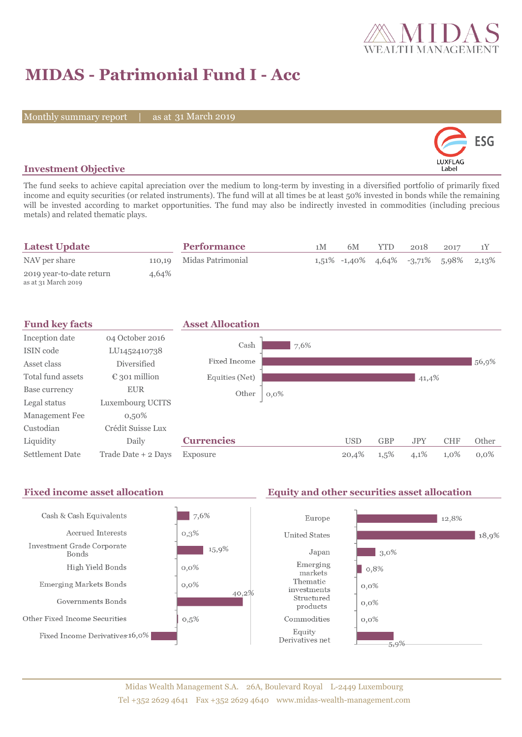

# **MIDAS - Patrimonial Fund I - Acc**

Monthly summary report | as at 31 March 2019



### **Investment Objective**

The fund seeks to achieve capital apreciation over the medium to long-term by investing in a diversified portfolio of primarily fixed income and equity securities (or related instruments). The fund will at all times be at least 50% invested in bonds while the remaining will be invested according to market opportunities. The fund may also be indirectly invested in commodities (including precious metals) and related thematic plays.

| <b>Latest Update</b>                            |       | <b>Performance</b>       | 1 M | 6M | YTD. | 2018 | 2017                                          |  |
|-------------------------------------------------|-------|--------------------------|-----|----|------|------|-----------------------------------------------|--|
| NAV per share                                   |       | 110,19 Midas Patrimonial |     |    |      |      | $1,51\%$ -1,40\% 4,64\% -3,71\% 5,98\% 2,13\% |  |
| 2019 year-to-date return<br>as at 31 March 2019 | 4,64% |                          |     |    |      |      |                                               |  |

| <b>Fund key facts</b>  |                        | <b>Asset Allocation</b> |         |            |            |            |            |         |
|------------------------|------------------------|-------------------------|---------|------------|------------|------------|------------|---------|
| Inception date         | 04 October 2016        |                         |         |            |            |            |            |         |
| ISIN code              | LU1452410738           | Cash                    | 7,6%    |            |            |            |            |         |
| Asset class            | <b>Diversified</b>     | Fixed Income            |         |            |            |            |            | 56,9%   |
| Total fund assets      | $\epsilon$ 301 million | Equities (Net)          |         |            |            | 41,4%      |            |         |
| Base currency          | <b>EUR</b>             | Other                   | $0,0\%$ |            |            |            |            |         |
| Legal status           | Luxembourg UCITS       |                         |         |            |            |            |            |         |
| Management Fee         | $0,50\%$               |                         |         |            |            |            |            |         |
| Custodian              | Crédit Suisse Lux      |                         |         |            |            |            |            |         |
| Liquidity              | Daily                  | <b>Currencies</b>       |         | <b>USD</b> | <b>GBP</b> | <b>JPY</b> | <b>CHF</b> | Other   |
| <b>Settlement Date</b> | Trade Date + 2 Days    | Exposure                |         | 20,4%      | 1,5%       | 4,1%       | 1,0%       | $0.0\%$ |

#### Fixed income asset allocation **Equity and other securities asset allocation** Cash & Cash Equivalents  $7,6%$ Europe 12,8% Accrued Interests  $0,3%$ **United States** 18,9% Investment Grade Corporate 15,9%  $3,0\%$ Japan **Bonds** Emerging High Yield Bonds  $0,0\%$  $| 0,8%$ markets Thematic Emerging Markets Bonds  $0,0\%$  $0,0\%$ investments 40,2% Structured Governments Bonds  $0,0\%$ products Other Fixed Income Securities  $0,5%$ Commodities  $0,0\%$ Equity Fixed Income Derivatives 16,0% Derivatives net  $\frac{1}{5,9\%}$

### Midas Wealth Management S.A. 26A, Boulevard Royal L-2449 Luxembourg Tel +352 2629 4641 Fax +352 2629 4640 www.midas-wealth-management.com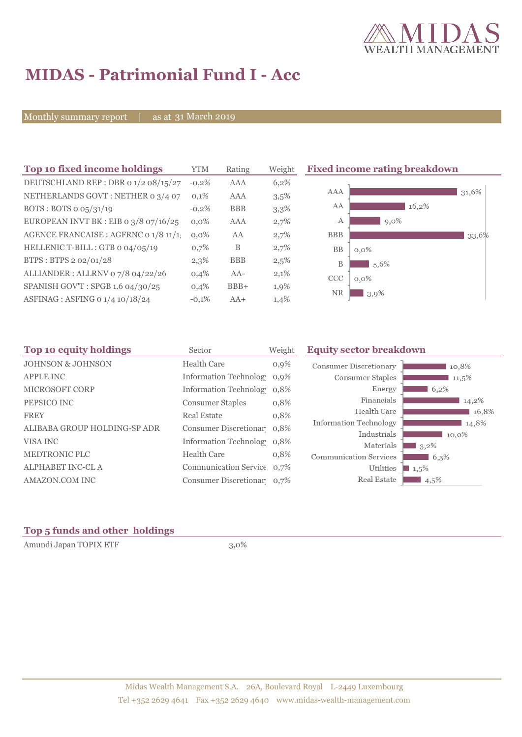

# **MIDAS - Patrimonial Fund I - Acc**

Monthly summary report | as at 31 March 2019

| Top 10 fixed income holdings            | <b>YTM</b> | Rating     | Weight | <b>Fixed income rating breakdown</b> |  |  |
|-----------------------------------------|------------|------------|--------|--------------------------------------|--|--|
| DEUTSCHLAND REP : DBR 0 1/2 08/15/27    | $-0,2%$    | <b>AAA</b> | 6,2%   |                                      |  |  |
| NETHERLANDS GOVT: NETHER 0 3/4 07       | 0,1%       | AAA        | 3,5%   | AAA<br>31,6%                         |  |  |
| BOTS: BOTS $o$ $o5/31/19$               | $-0,2%$    | <b>BBB</b> | 3,3%   | AA<br>16,2%                          |  |  |
| EUROPEAN INVT BK : EIB o $3/8$ 07/16/25 | $0.0\%$    | <b>AAA</b> | 2,7%   | $9,0\%$<br>А                         |  |  |
| AGENCE FRANCAISE : AGFRNC 0 1/8 11/1    | $0.0\%$    | AA         | 2,7%   | <b>BBB</b><br>33,6%                  |  |  |
| HELLENIC T-BILL : GTB 0 04/05/19        | 0,7%       | B          | 2,7%   | BB<br>$0,0\%$                        |  |  |
| BTPS: BTPS 2 02/01/28                   | 2,3%       | <b>BBB</b> | 2,5%   | B<br>5,6%                            |  |  |
| ALLIANDER: ALLRNV 07/8 04/22/26         | 0,4%       | $AA-$      | 2,1%   | <b>CCC</b><br>$0,0\%$                |  |  |
| SPANISH GOV'T: SPGB 1.6 04/30/25        | 0,4%       | $BBB+$     | 1,9%   | <b>NR</b>                            |  |  |
| ASFINAG : ASFING 0 1/4 10/18/24         | $-0,1%$    | $AA+$      | 1,4%   | 3,9%                                 |  |  |

| Top 10 equity holdings<br>Sector |                            | Weight  | <b>Equity sector breakdown</b> |         |  |
|----------------------------------|----------------------------|---------|--------------------------------|---------|--|
| <b>JOHNSON &amp; JOHNSON</b>     | Health Care                | $0,9\%$ | <b>Consumer Discretionary</b>  | 10,8%   |  |
| <b>APPLE INC</b>                 | Information Technolog 0,9% |         | Consumer Staples               | 11,5%   |  |
| <b>MICROSOFT CORP</b>            | Information Technolog 0.8% |         | Energy                         | 6,2%    |  |
| PEPSICO INC                      | <b>Consumer Staples</b>    | 0,8%    | Financials                     | 14,2%   |  |
| <b>FREY</b>                      | Real Estate                | 0,8%    | Health Care                    | 16,8%   |  |
| ALIBABA GROUP HOLDING-SP ADR     | Consumer Discretionar 0,8% |         | Information Technology         | 14,8%   |  |
|                                  |                            |         | Industrials                    | 10,0%   |  |
| VISA INC                         | Information Technolog 0,8% |         | Materials                      | $3,2\%$ |  |
| <b>MEDTRONIC PLC</b>             | <b>Health Care</b>         | 0,8%    | <b>Communication Services</b>  | 6,5%    |  |
| <b>ALPHABET INC-CL A</b>         | Communication Service 0.7% |         | Utilities                      | $1,5\%$ |  |
| AMAZON.COM INC                   | Consumer Discretionar 0,7% |         | Real Estate                    | $4,5\%$ |  |

## **Top 5 funds and other holdings**

Amundi Japan TOPIX ETF 3,0%